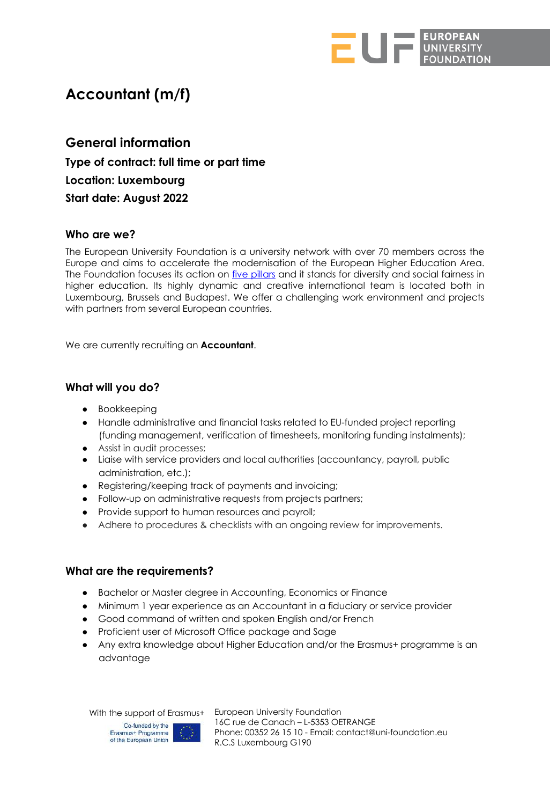

# **Accountant (m/f)**

**General information Type of contract: full time or part time Location: Luxembourg Start date: August 2022**

## **Who are we?**

The European University Foundation is a university network with over 70 members across the Europe and aims to accelerate the modernisation of the European Higher Education Area. The Foundation focuses its action on *five pillars* and it stands for diversity and social fairness in higher education. Its highly dynamic and creative international team is located both in Luxembourg, Brussels and Budapest. We offer a challenging work environment and projects with partners from several European countries.

We are currently recruiting an **Accountant**.

# **What will you do?**

- Bookkeeping
- Handle administrative and financial tasks related to EU-funded project reporting (funding management, verification of timesheets, monitoring funding instalments);
- Assist in audit processes;
- Liaise with service providers and local authorities (accountancy, payroll, public administration, etc.);
- Registering/keeping track of payments and invoicing;
- Follow-up on administrative requests from projects partners;
- Provide support to human resources and payroll;
- Adhere to procedures & checklists with an ongoing review for improvements.

## **What are the requirements?**

- Bachelor or Master degree in Accounting, Economics or Finance
- Minimum 1 year experience as an Accountant in a fiduciary or service provider
- Good command of written and spoken English and/or French
- Proficient user of Microsoft Office package and Sage
- Any extra knowledge about Higher Education and/or the Erasmus+ programme is an advantage

With the support of Erasmus+ European University Foundation



16C rue de Canach – L-5353 OETRANGE Phone: 00352 26 15 10 - Email: contact@uni-foundation.eu R.C.S Luxembourg G190